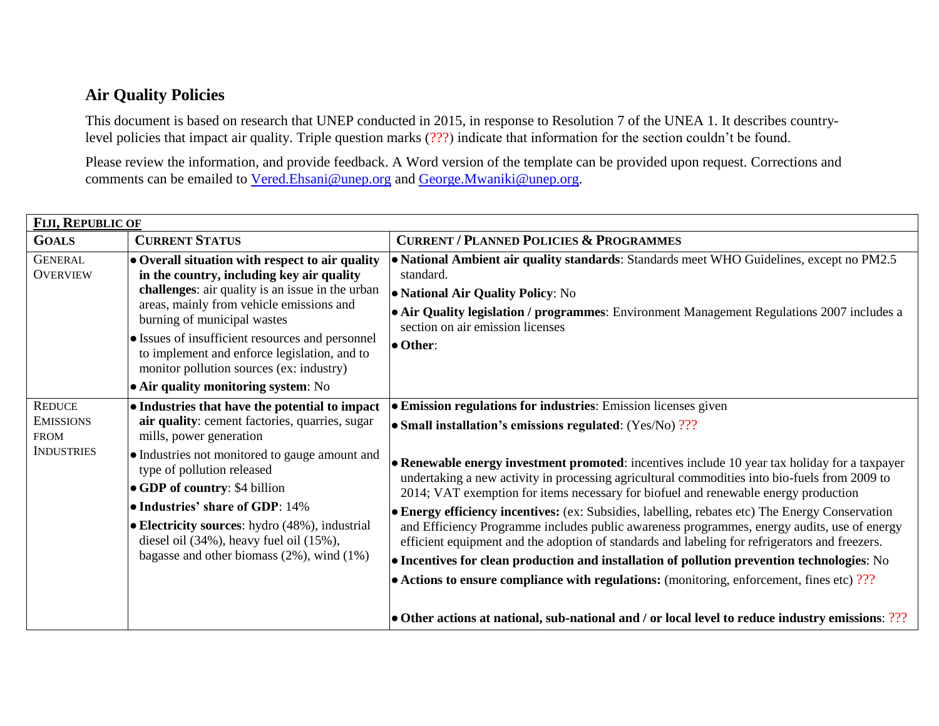## **Air Quality Policies**

This document is based on research that UNEP conducted in 2015, in response to Resolution 7 of the UNEA 1. It describes countrylevel policies that impact air quality. Triple question marks (???) indicate that information for the section couldn't be found.

Please review the information, and provide feedback. A Word version of the template can be provided upon request. Corrections and comments can be emailed to [Vered.Ehsani@unep.org](mailto:Vered.Ehsani@unep.org) and [George.Mwaniki@unep.org.](mailto:George.Mwaniki@unep.org)

| FIJI, REPUBLIC OF                                                     |                                                                                                                                                                                                                                                                                                                                                                                     |                                                                                                                                                                                                                                                                                                                                                                                                                                                                                                                                                                                                                                                                                                                                                                                                                                                                                           |  |
|-----------------------------------------------------------------------|-------------------------------------------------------------------------------------------------------------------------------------------------------------------------------------------------------------------------------------------------------------------------------------------------------------------------------------------------------------------------------------|-------------------------------------------------------------------------------------------------------------------------------------------------------------------------------------------------------------------------------------------------------------------------------------------------------------------------------------------------------------------------------------------------------------------------------------------------------------------------------------------------------------------------------------------------------------------------------------------------------------------------------------------------------------------------------------------------------------------------------------------------------------------------------------------------------------------------------------------------------------------------------------------|--|
| <b>GOALS</b>                                                          | <b>CURRENT STATUS</b>                                                                                                                                                                                                                                                                                                                                                               | <b>CURRENT / PLANNED POLICIES &amp; PROGRAMMES</b>                                                                                                                                                                                                                                                                                                                                                                                                                                                                                                                                                                                                                                                                                                                                                                                                                                        |  |
| <b>GENERAL</b><br><b>OVERVIEW</b>                                     | $\bullet$ Overall situation with respect to air quality<br>in the country, including key air quality<br>challenges: air quality is an issue in the urban<br>areas, mainly from vehicle emissions and<br>burning of municipal wastes<br>• Issues of insufficient resources and personnel<br>to implement and enforce legislation, and to<br>monitor pollution sources (ex: industry) | • National Ambient air quality standards: Standards meet WHO Guidelines, except no PM2.5<br>standard.<br>• National Air Quality Policy: No<br>• Air Quality legislation / programmes: Environment Management Regulations 2007 includes a<br>section on air emission licenses<br>$\bullet$ Other:                                                                                                                                                                                                                                                                                                                                                                                                                                                                                                                                                                                          |  |
|                                                                       | $\bullet$ Air quality monitoring system: No                                                                                                                                                                                                                                                                                                                                         |                                                                                                                                                                                                                                                                                                                                                                                                                                                                                                                                                                                                                                                                                                                                                                                                                                                                                           |  |
| <b>REDUCE</b><br><b>EMISSIONS</b><br><b>FROM</b><br><b>INDUSTRIES</b> | $\bullet$ Industries that have the potential to impact<br>air quality: cement factories, quarries, sugar<br>mills, power generation                                                                                                                                                                                                                                                 | <b>• Emission regulations for industries:</b> Emission licenses given<br>• Small installation's emissions regulated: (Yes/No) ???                                                                                                                                                                                                                                                                                                                                                                                                                                                                                                                                                                                                                                                                                                                                                         |  |
|                                                                       | • Industries not monitored to gauge amount and<br>type of pollution released<br><b>.</b> GDP of country: \$4 billion<br>• Industries' share of GDP: 14%<br>$\bullet$ Electricity sources: hydro (48%), industrial<br>diesel oil $(34\%)$ , heavy fuel oil $(15\%)$ ,<br>bagasse and other biomass $(2\%)$ , wind $(1\%)$                                                            | • Renewable energy investment promoted: incentives include 10 year tax holiday for a taxpayer<br>undertaking a new activity in processing agricultural commodities into bio-fuels from 2009 to<br>2014; VAT exemption for items necessary for biofuel and renewable energy production<br>• Energy efficiency incentives: (ex: Subsidies, labelling, rebates etc) The Energy Conservation<br>and Efficiency Programme includes public awareness programmes, energy audits, use of energy<br>efficient equipment and the adoption of standards and labeling for refrigerators and freezers.<br>• Incentives for clean production and installation of pollution prevention technologies: No<br>• Actions to ensure compliance with regulations: (monitoring, enforcement, fines etc) ???<br>• Other actions at national, sub-national and / or local level to reduce industry emissions: ??? |  |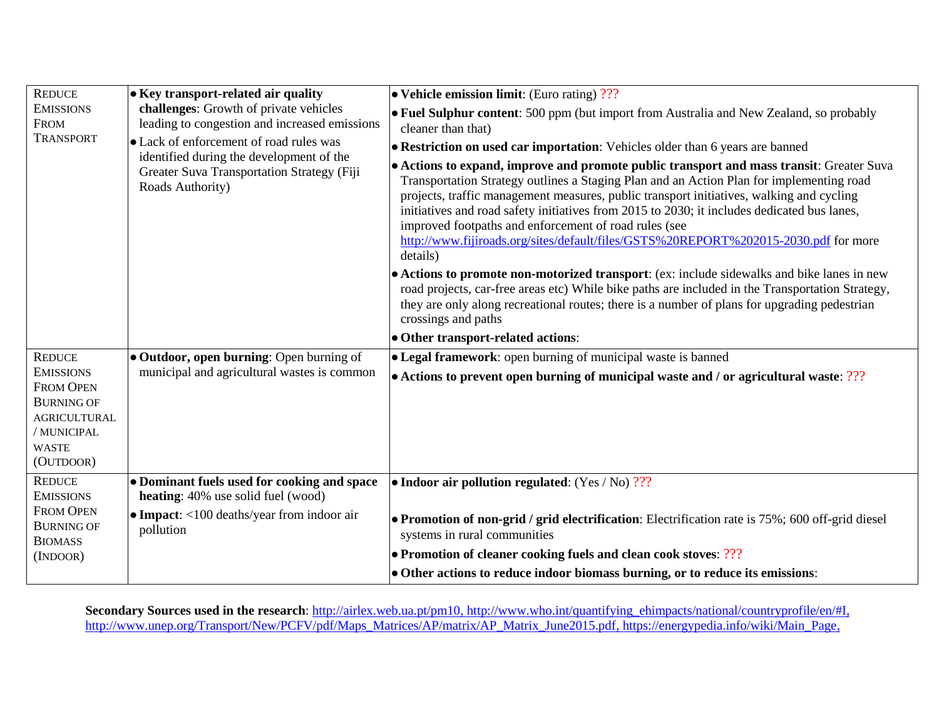| <b>REDUCE</b><br><b>EMISSIONS</b><br><b>FROM</b><br><b>TRANSPORT</b>                                                                          | $\bullet$ Key transport-related air quality<br>challenges: Growth of private vehicles<br>leading to congestion and increased emissions<br>• Lack of enforcement of road rules was<br>identified during the development of the<br>Greater Suva Transportation Strategy (Fiji<br>Roads Authority) | $\bullet$ Vehicle emission limit: (Euro rating) ???<br>$\bullet$ Fuel Sulphur content: 500 ppm (but import from Australia and New Zealand, so probably<br>cleaner than that)<br>• Restriction on used car importation: Vehicles older than 6 years are banned<br>• Actions to expand, improve and promote public transport and mass transit: Greater Suva<br>Transportation Strategy outlines a Staging Plan and an Action Plan for implementing road<br>projects, traffic management measures, public transport initiatives, walking and cycling<br>initiatives and road safety initiatives from 2015 to 2030; it includes dedicated bus lanes, |
|-----------------------------------------------------------------------------------------------------------------------------------------------|-------------------------------------------------------------------------------------------------------------------------------------------------------------------------------------------------------------------------------------------------------------------------------------------------|--------------------------------------------------------------------------------------------------------------------------------------------------------------------------------------------------------------------------------------------------------------------------------------------------------------------------------------------------------------------------------------------------------------------------------------------------------------------------------------------------------------------------------------------------------------------------------------------------------------------------------------------------|
|                                                                                                                                               |                                                                                                                                                                                                                                                                                                 | improved footpaths and enforcement of road rules (see<br>http://www.fijiroads.org/sites/default/files/GSTS%20REPORT%202015-2030.pdf for more<br>details)<br>• Actions to promote non-motorized transport: (ex: include sidewalks and bike lanes in new<br>road projects, car-free areas etc) While bike paths are included in the Transportation Strategy,<br>they are only along recreational routes; there is a number of plans for upgrading pedestrian<br>crossings and paths<br>• Other transport-related actions:                                                                                                                          |
| <b>REDUCE</b><br><b>EMISSIONS</b><br><b>FROM OPEN</b><br><b>BURNING OF</b><br><b>AGRICULTURAL</b><br>/ MUNICIPAL<br><b>WASTE</b><br>(OUTDOOR) | $\bullet$ Outdoor, open burning: Open burning of<br>municipal and agricultural wastes is common                                                                                                                                                                                                 | $\bullet$ Legal framework: open burning of municipal waste is banned<br>$\bullet$ Actions to prevent open burning of municipal waste and / or agricultural waste: ???                                                                                                                                                                                                                                                                                                                                                                                                                                                                            |
| <b>REDUCE</b><br><b>EMISSIONS</b><br><b>FROM OPEN</b><br><b>BURNING OF</b><br><b>BIOMASS</b><br>(INDOOR)                                      | • Dominant fuels used for cooking and space<br>heating: 40% use solid fuel (wood)<br>$\bullet$ Impact: <100 deaths/year from indoor air<br>pollution                                                                                                                                            | • Indoor air pollution regulated: $(Yes / No)$ ???<br><b>Promotion of non-grid / grid electrification</b> : Electrification rate is 75%; 600 off-grid diesel<br>systems in rural communities<br>• Promotion of cleaner cooking fuels and clean cook stoves: ???<br>• Other actions to reduce indoor biomass burning, or to reduce its emissions:                                                                                                                                                                                                                                                                                                 |

**Secondary Sources used in the research**: [http://airlex.web.ua.pt/pm10,](http://airlex.web.ua.pt/pm10) [http://www.who.int/quantifying\\_ehimpacts/national/countryprofile/en/#I,](http://www.who.int/quantifying_ehimpacts/national/countryprofile/en/#I) [http://www.unep.org/Transport/New/PCFV/pdf/Maps\\_Matrices/AP/matrix/AP\\_Matrix\\_June2015.pdf,](http://www.unep.org/Transport/New/PCFV/pdf/Maps_Matrices/AP/matrix/AP_Matrix_June2015.pdf) [https://energypedia.info/wiki/Main\\_Page,](https://energypedia.info/wiki/Main_Page)